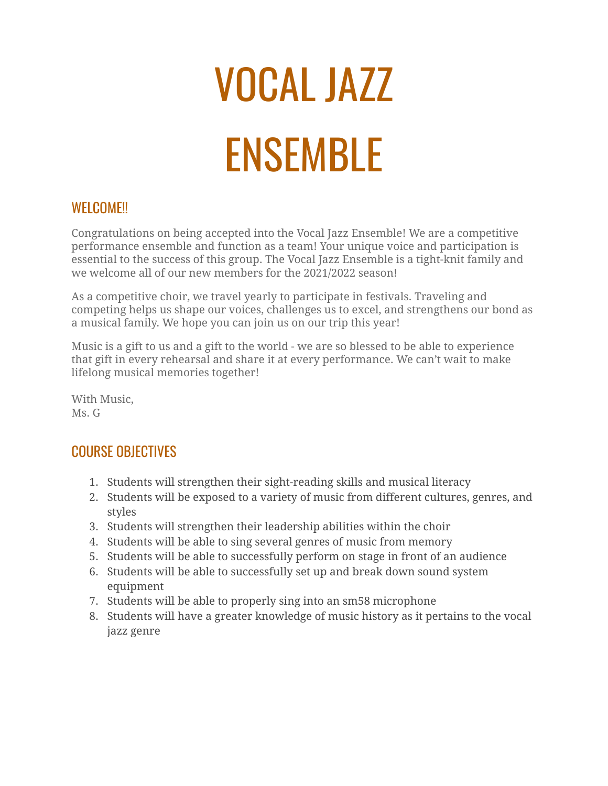# VOCAL JAZZ ENSEMBLE

### WELCOME!!

Congratulations on being accepted into the Vocal Jazz Ensemble! We are a competitive performance ensemble and function as a team! Your unique voice and participation is essential to the success of this group. The Vocal Jazz Ensemble is a tight-knit family and we welcome all of our new members for the 2021/2022 season!

As a competitive choir, we travel yearly to participate in festivals. Traveling and competing helps us shape our voices, challenges us to excel, and strengthens our bond as a musical family. We hope you can join us on our trip this year!

Music is a gift to us and a gift to the world - we are so blessed to be able to experience that gift in every rehearsal and share it at every performance. We can't wait to make lifelong musical memories together!

With Music, Ms. G

## COURSE OBJECTIVES

- 1. Students will strengthen their sight-reading skills and musical literacy
- 2. Students will be exposed to a variety of music from different cultures, genres, and styles
- 3. Students will strengthen their leadership abilities within the choir
- 4. Students will be able to sing several genres of music from memory
- 5. Students will be able to successfully perform on stage in front of an audience
- 6. Students will be able to successfully set up and break down sound system equipment
- 7. Students will be able to properly sing into an sm58 microphone
- 8. Students will have a greater knowledge of music history as it pertains to the vocal jazz genre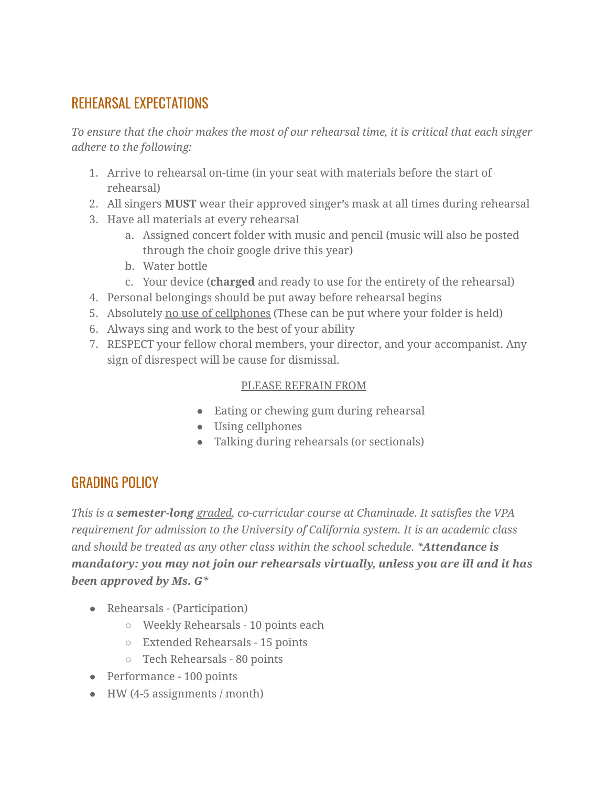## REHEARSAL EXPECTATIONS

*To ensure that the choir makes the most of our rehearsal time, it is critical that each singer adhere to the following:*

- 1. Arrive to rehearsal on-time (in your seat with materials before the start of rehearsal)
- 2. All singers **MUST** wear their approved singer's mask at all times during rehearsal
- 3. Have all materials at every rehearsal
	- a. Assigned concert folder with music and pencil (music will also be posted through the choir google drive this year)
	- b. Water bottle
	- c. Your device (**charged** and ready to use for the entirety of the rehearsal)
- 4. Personal belongings should be put away before rehearsal begins
- 5. Absolutely no use of cellphones (These can be put where your folder is held)
- 6. Always sing and work to the best of your ability
- 7. RESPECT your fellow choral members, your director, and your accompanist. Any sign of disrespect will be cause for dismissal.

#### PLEASE REFRAIN FROM

- Eating or chewing gum during rehearsal
- Using cellphones
- Talking during rehearsals (or sectionals)

## GRADING POLICY

*This is a semester-long graded, co-curricular course at Chaminade. It satisfies the VPA requirement for admission to the University of California system. It is an academic class and should be treated as any other class within the school schedule. \*Attendance is mandatory: you may not join our rehearsals virtually, unless you are ill and it has been approved by Ms. G\**

- Rehearsals (Participation)
	- Weekly Rehearsals 10 points each
	- Extended Rehearsals 15 points
	- Tech Rehearsals 80 points
- Performance 100 points
- $\bullet$  HW (4-5 assignments / month)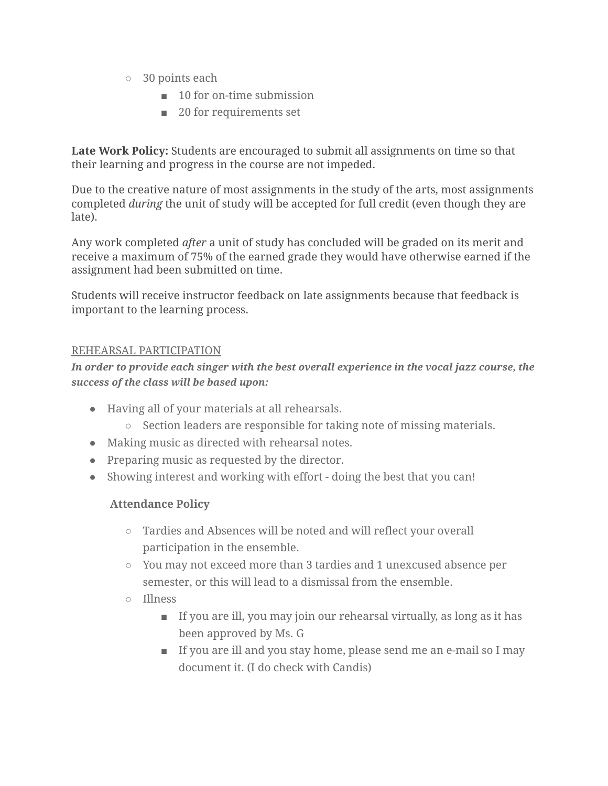- 30 points each
	- 10 for on-time submission
	- 20 for requirements set

**Late Work Policy:** Students are encouraged to submit all assignments on time so that their learning and progress in the course are not impeded.

Due to the creative nature of most assignments in the study of the arts, most assignments completed *during* the unit of study will be accepted for full credit (even though they are late).

Any work completed *after* a unit of study has concluded will be graded on its merit and receive a maximum of 75% of the earned grade they would have otherwise earned if the assignment had been submitted on time.

Students will receive instructor feedback on late assignments because that feedback is important to the learning process.

#### REHEARSAL PARTICIPATION

*In order to provide each singer with the best overall experience in the vocal jazz course, the success of the class will be based upon:*

- Having all of your materials at all rehearsals.
	- Section leaders are responsible for taking note of missing materials.
- *●* Making music as directed with rehearsal notes.
- Preparing music as requested by the director.
- Showing interest and working with effort doing the best that you can!

#### **Attendance Policy**

- *○* Tardies and Absences will be noted and will reflect your overall participation in the ensemble.
- You may not exceed more than 3 tardies and 1 unexcused absence per semester, or this will lead to a dismissal from the ensemble.
- Illness
	- If you are ill, you may join our rehearsal virtually, as long as it has been approved by Ms. G
	- If you are ill and you stay home, please send me an e-mail so I may document it. (I do check with Candis)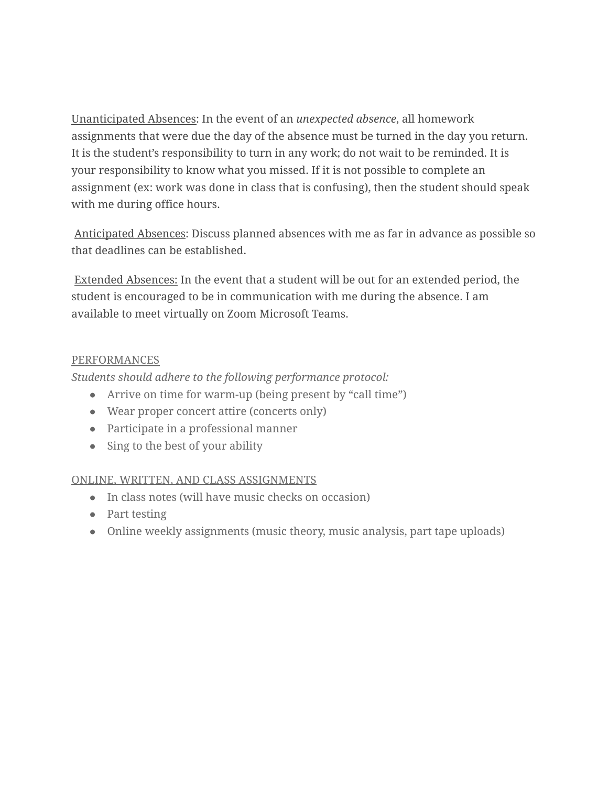Unanticipated Absences: In the event of an *unexpected absence*, all homework assignments that were due the day of the absence must be turned in the day you return. It is the student's responsibility to turn in any work; do not wait to be reminded. It is your responsibility to know what you missed. If it is not possible to complete an assignment (ex: work was done in class that is confusing), then the student should speak with me during office hours.

Anticipated Absences: Discuss planned absences with me as far in advance as possible so that deadlines can be established.

Extended Absences: In the event that a student will be out for an extended period, the student is encouraged to be in communication with me during the absence. I am available to meet virtually on Zoom Microsoft Teams.

#### PERFORMANCES

*Students should adhere to the following performance protocol:*

- Arrive on time for warm-up (being present by "call time")
- Wear proper concert attire (concerts only)
- Participate in a professional manner
- Sing to the best of your ability

#### ONLINE, WRITTEN, AND CLASS ASSIGNMENTS

- In class notes (will have music checks on occasion)
- Part testing
- Online weekly assignments (music theory, music analysis, part tape uploads)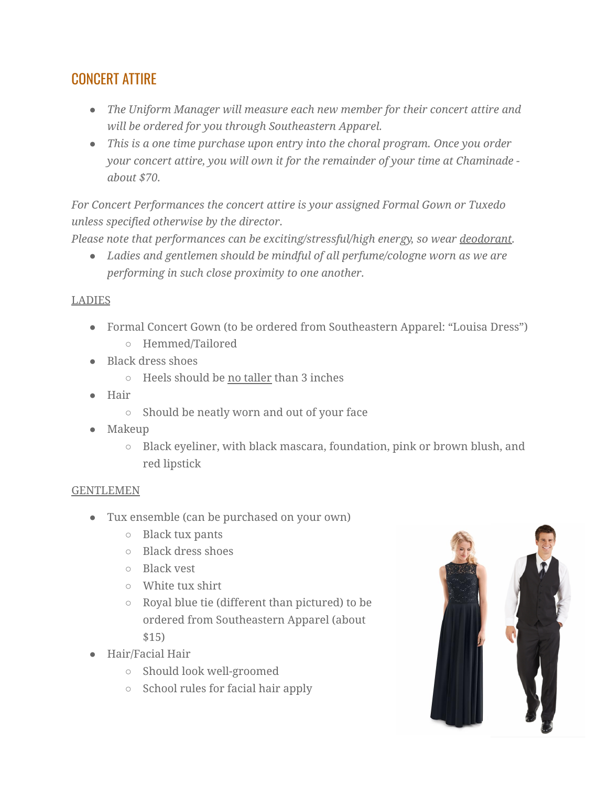## CONCERT ATTIRE

- *● The Uniform Manager will measure each new member for their concert attire and will be ordered for you through Southeastern Apparel.*
- *● This is a one time purchase upon entry into the choral program. Once you order your concert attire, you will own it for the remainder of your time at Chaminade about \$70.*

*For Concert Performances the concert attire is your assigned Formal Gown or Tuxedo unless specified otherwise by the director.*

*Please note that performances can be exciting/stressful/high energy, so wear deodorant.*

*● Ladies and gentlemen should be mindful of all perfume/cologne worn as we are performing in such close proximity to one another.*

#### **LADIES**

- Formal Concert Gown (to be ordered from Southeastern Apparel: "Louisa Dress")
	- Hemmed/Tailored
- Black dress shoes
	- Heels should be no taller than 3 inches
- Hair
	- Should be neatly worn and out of your face
- Makeup
	- Black eyeliner, with black mascara, foundation, pink or brown blush, and red lipstick

#### GENTLEMEN

- Tux ensemble (can be purchased on your own)
	- Black tux pants
	- Black dress shoes
	- Black vest
	- White tux shirt
	- Royal blue tie (different than pictured) to be ordered from Southeastern Apparel (about \$15)
- Hair/Facial Hair
	- Should look well-groomed
	- School rules for facial hair apply

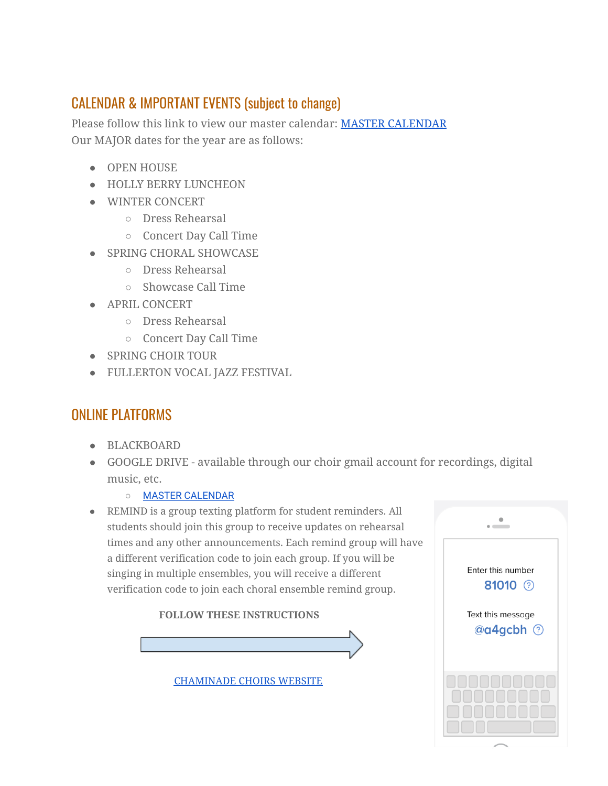## CALENDAR & IMPORTANT EVENTS (subject to change)

Please follow this link to view our master calendar: MASTER [CALENDAR](http://www.chaminadechoirs.org/master-calendar.html) Our MAJOR dates for the year are as follows:

- OPEN HOUSE
- HOLLY BERRY LUNCHEON
- WINTER CONCERT
	- Dress Rehearsal
	- Concert Day Call Time
- SPRING CHORAL SHOWCASE
	- Dress Rehearsal
	- Showcase Call Time
- APRIL CONCERT
	- Dress Rehearsal
	- Concert Day Call Time
- SPRING CHOIR TOUR
- FULLERTON VOCAL JAZZ FESTIVAL

## ONLINE PLATFORMS

- BLACKBOARD
- GOOGLE DRIVE available through our choir gmail account for recordings, digital music, etc.
	- MASTER [CALENDAR](http://www.chaminadechoirs.org/master-calendar.html)
- REMIND is a group texting platform for student reminders. All students should join this group to receive updates on rehearsal times and any other announcements. Each remind group will have a different verification code to join each group. If you will be singing in multiple ensembles, you will receive a different verification code to join each choral ensemble remind group.





[CHAMINADE](http://www.chaminadechoirs.org/) CHOIRS WEBSITE